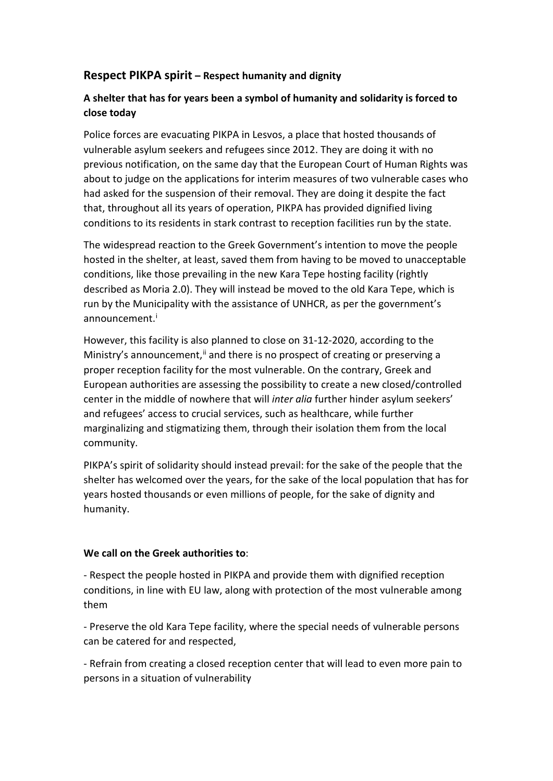## **Respect PIKPA spirit – Respect humanity and dignity**

## **A shelter that has for years been a symbol of humanity and solidarity is forced to close today**

Police forces are evacuating PIKPA in Lesvos, a place that hosted thousands of vulnerable asylum seekers and refugees since 2012. They are doing it with no previous notification, on the same day that the European Court of Human Rights was about to judge on the applications for interim measures of two vulnerable cases who had asked for the suspension of their removal. They are doing it despite the fact that, throughout all its years of operation, PIKPA has provided dignified living conditions to its residents in stark contrast to reception facilities run by the state.

The widespread reaction to the Greek Government's intention to move the people hosted in the shelter, at least, saved them from having to be moved to unacceptable conditions, like those prevailing in the new Kara Tepe hosting facility (rightly described as Moria 2.0). They will instead be moved to the old Kara Tepe, which is run by the Municipality with the assistance of UNHCR, as per the government's announcement.<sup>[i](#page-1-0)</sup>

However, this facility is also planned to close on 31-12-2020, according to the Ministry's announcement, $\ddot{u}$  and there is no prospect of creating or preserving a proper reception facility for the most vulnerable. On the contrary, Greek and European authorities are assessing the possibility to create a new closed/controlled center in the middle of nowhere that will *inter alia* further hinder asylum seekers' and refugees' access to crucial services, such as healthcare, while further marginalizing and stigmatizing them, through their isolation them from the local community.

PIKPA's spirit of solidarity should instead prevail: for the sake of the people that the shelter has welcomed over the years, for the sake of the local population that has for years hosted thousands or even millions of people, for the sake of dignity and humanity.

## **We call on the Greek authorities to**:

- Respect the people hosted in PIKPA and provide them with dignified reception conditions, in line with EU law, along with protection of the most vulnerable among them

- Preserve the old Kara Tepe facility, where the special needs of vulnerable persons can be catered for and respected,

- Refrain from creating a closed reception center that will lead to even more pain to persons in a situation of vulnerability